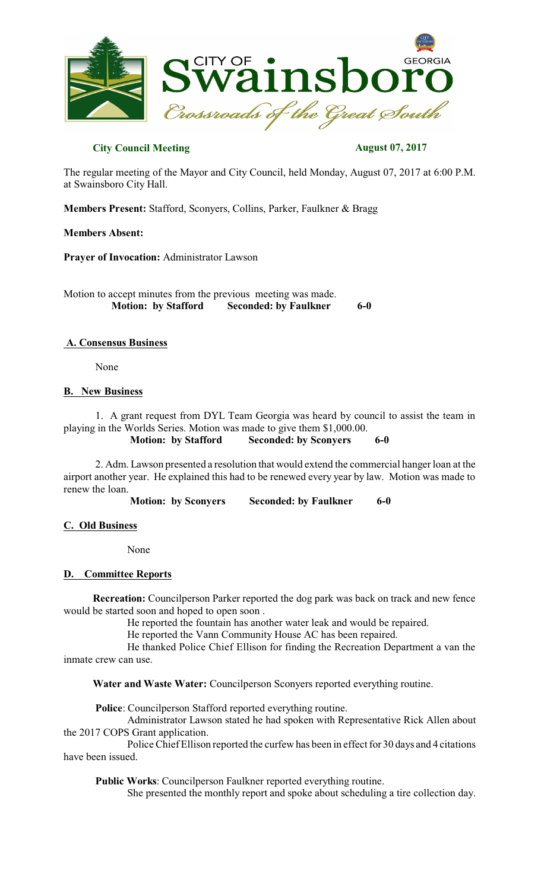

# **City Council Meeting August 07, 2017**

The regular meeting of the Mayor and City Council, held Monday, August 07, 2017 at 6:00 P.M. at Swainsboro City Hall.

**Members Present:** Stafford, Sconyers, Collins, Parker, Faulkner & Bragg

### **Members Absent:**

**Prayer of Invocation:** Administrator Lawson

Motion to accept minutes from the previous meeting was made.<br>Motion: by Stafford Seconded: by Faulkner  **Seconded: by Faulkner 6-0** 

### **A. Consensus Business**

None

### **B. New Business**

1. A grant request from DYL Team Georgia was heard by council to assist the team in playing in the Worlds Series. Motion was made to give them \$1,000.00.

**Motion: by Stafford Seconded: by Sconyers 6-0**

2. Adm. Lawson presented a resolution that would extend the commercial hanger loan at the airport another year. He explained this had to be renewed every year by law. Motion was made to renew the loan.

**Motion: by Sconyers Seconded: by Faulkner 6-0** 

## **C. Old Business**

None

#### **D. Committee Reports**

**Recreation:** Councilperson Parker reported the dog park was back on track and new fence would be started soon and hoped to open soon .

He reported the fountain has another water leak and would be repaired.

He reported the Vann Community House AC has been repaired.

He thanked Police Chief Ellison for finding the Recreation Department a van the inmate crew can use.

**Water and Waste Water:** Councilperson Sconyers reported everything routine.

**Police**: Councilperson Stafford reported everything routine.

Administrator Lawson stated he had spoken with Representative Rick Allen about the 2017 COPS Grant application.

Police Chief Ellison reported the curfew has been in effect for 30 days and 4 citations have been issued.

**Public Works**: Councilperson Faulkner reported everything routine.

She presented the monthly report and spoke about scheduling a tire collection day.